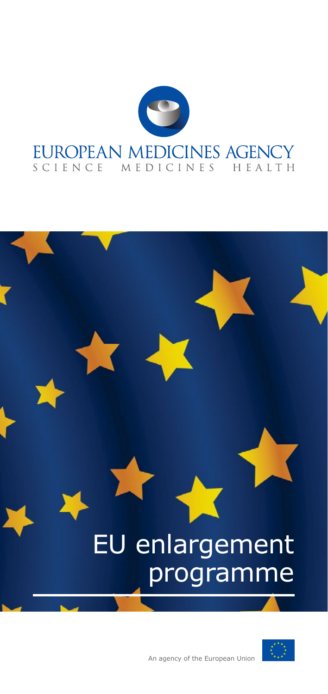

# EU enlargement programme

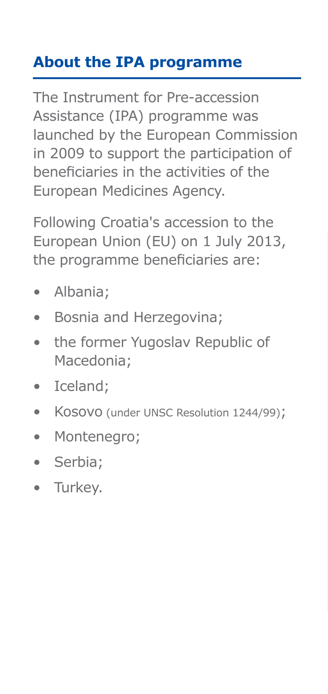# **About the IPA programme**

The Instrument for Pre-accession Assistance (IPA) programme was launched by the European Commission in 2009 to support the participation of beneficiaries in the activities of the European Medicines Agency.

Following Croatia's accession to the European Union (EU) on 1 July 2013, the programme beneficiaries are:

- Albania;
- Bosnia and Herzegovina;
- the former Yugoslav Republic of Macedonia;
- Iceland;
- Kosovo (under UNSC Resolution 1244/99);
- Montenegro;
- Serbia;
- Turkey.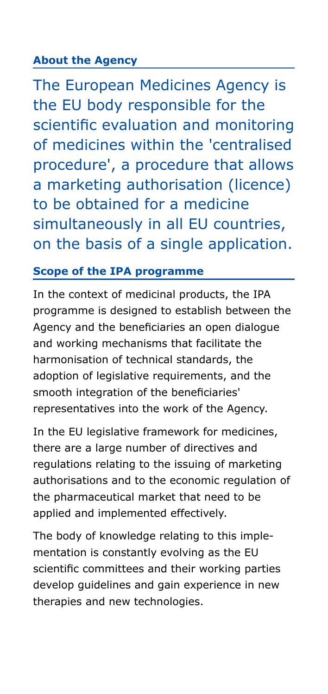## **About the Agency**

The European Medicines Agency is the EU body responsible for the scientific evaluation and monitoring of medicines within the 'centralised procedure', a procedure that allows a marketing authorisation (licence) to be obtained for a medicine simultaneously in all EU countries, on the basis of a single application.

#### **Scope of the IPA programme**

In the context of medicinal products, the IPA programme is designed to establish between the Agency and the beneficiaries an open dialogue and working mechanisms that facilitate the harmonisation of technical standards, the adoption of legislative requirements, and the smooth integration of the beneficiaries' representatives into the work of the Agency.

In the EU legislative framework for medicines, there are a large number of directives and regulations relating to the issuing of marketing authorisations and to the economic regulation of the pharmaceutical market that need to be applied and implemented effectively.

The body of knowledge relating to this implementation is constantly evolving as the EU scientific committees and their working parties develop guidelines and gain experience in new therapies and new technologies.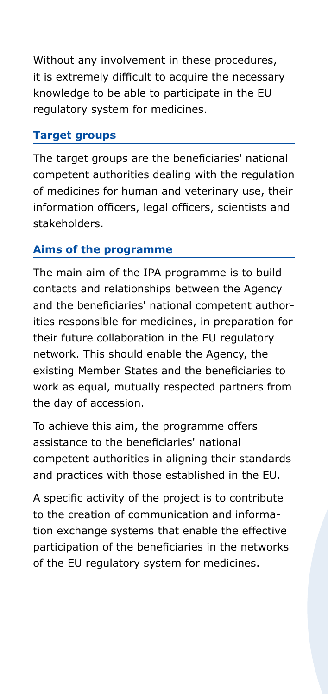Without any involvement in these procedures, it is extremely difficult to acquire the necessary knowledge to be able to participate in the EU regulatory system for medicines.

#### **Target groups**

The target groups are the beneficiaries' national competent authorities dealing with the regulation of medicines for human and veterinary use, their information officers, legal officers, scientists and stakeholders.

#### **Aims of the programme**

The main aim of the IPA programme is to build contacts and relationships between the Agency and the beneficiaries' national competent authorities responsible for medicines, in preparation for their future collaboration in the EU regulatory network. This should enable the Agency, the existing Member States and the beneficiaries to work as equal, mutually respected partners from the day of accession.

To achieve this aim, the programme offers assistance to the beneficiaries' national competent authorities in aligning their standards and practices with those established in the EU.

A specific activity of the project is to contribute to the creation of communication and information exchange systems that enable the effective participation of the beneficiaries in the networks of the EU regulatory system for medicines.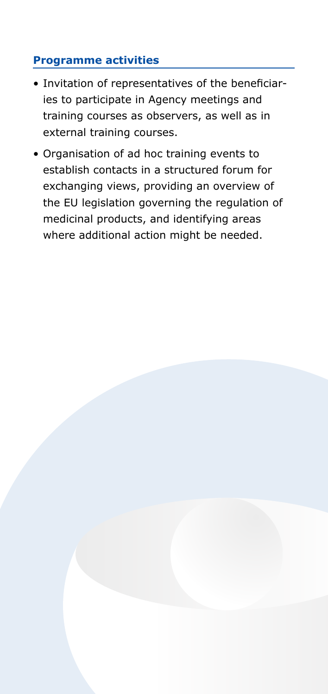## **Programme activities**

- Invitation of representatives of the beneficiaries to participate in Agency meetings and training courses as observers, as well as in external training courses.
- Organisation of ad hoc training events to establish contacts in a structured forum for exchanging views, providing an overview of the EU legislation governing the regulation of medicinal products, and identifying areas where additional action might be needed.